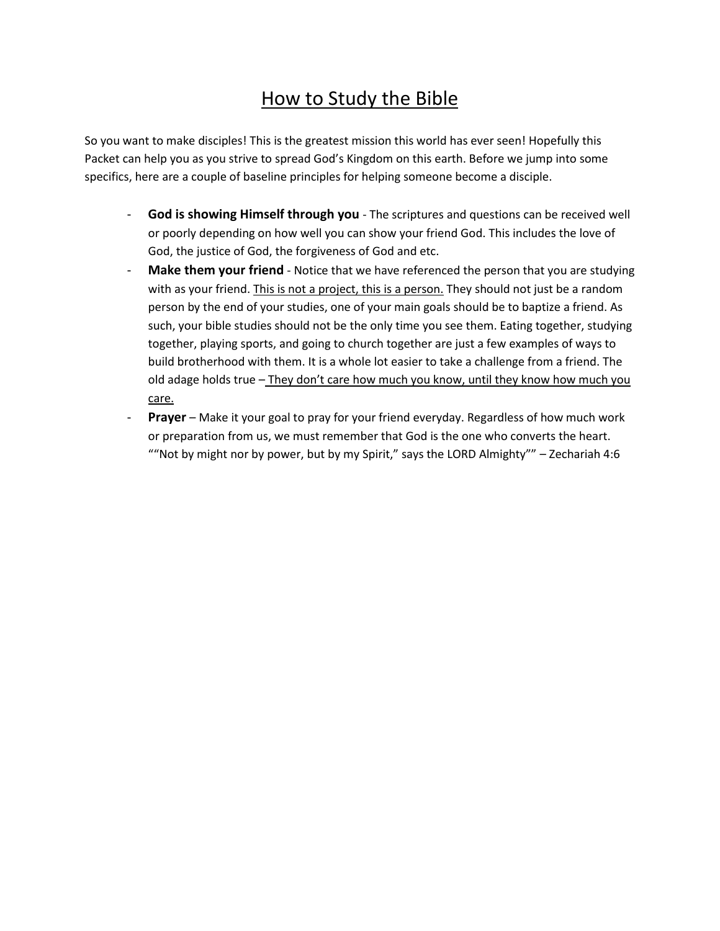# How to Study the Bible

So you want to make disciples! This is the greatest mission this world has ever seen! Hopefully this Packet can help you as you strive to spread God's Kingdom on this earth. Before we jump into some specifics, here are a couple of baseline principles for helping someone become a disciple.

- **God is showing Himself through you** The scriptures and questions can be received well or poorly depending on how well you can show your friend God. This includes the love of God, the justice of God, the forgiveness of God and etc.
- **Make them your friend** Notice that we have referenced the person that you are studying with as your friend. This is not a project, this is a person. They should not just be a random person by the end of your studies, one of your main goals should be to baptize a friend. As such, your bible studies should not be the only time you see them. Eating together, studying together, playing sports, and going to church together are just a few examples of ways to build brotherhood with them. It is a whole lot easier to take a challenge from a friend. The old adage holds true – They don't care how much you know, until they know how much you care.
- **Prayer** Make it your goal to pray for your friend everyday. Regardless of how much work or preparation from us, we must remember that God is the one who converts the heart. ""Not by might nor by power, but by my Spirit," says the LORD Almighty"" – Zechariah 4:6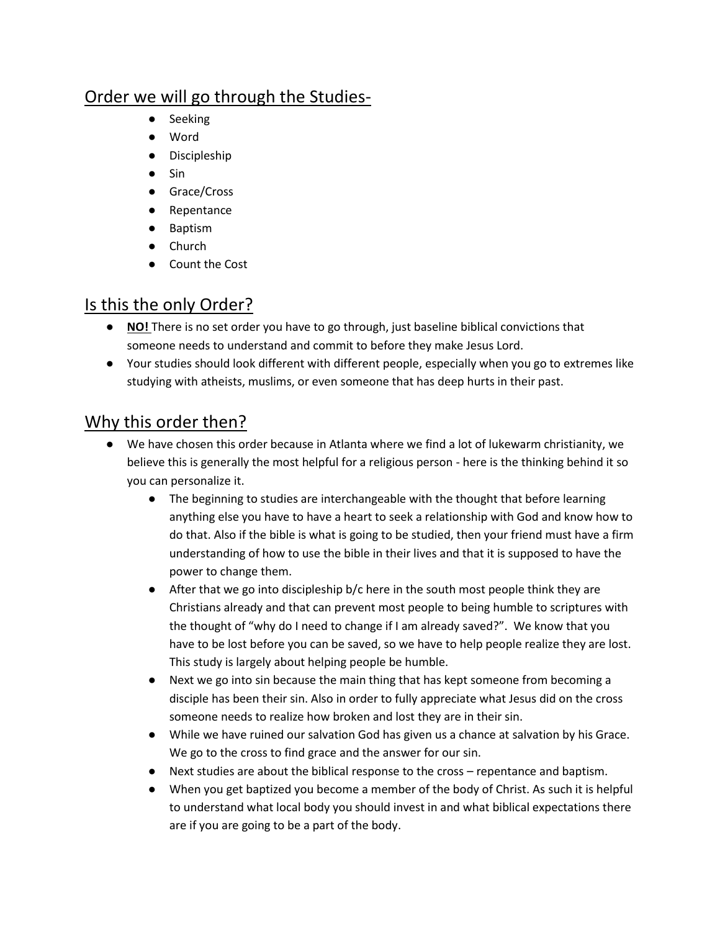# Order we will go through the Studies-

- Seeking
- Word
- Discipleship
- Sin
- Grace/Cross
- Repentance
- Baptism
- Church
- Count the Cost

# Is this the only Order?

- **NO!** There is no set order you have to go through, just baseline biblical convictions that someone needs to understand and commit to before they make Jesus Lord.
- Your studies should look different with different people, especially when you go to extremes like studying with atheists, muslims, or even someone that has deep hurts in their past.

# Why this order then?

- We have chosen this order because in Atlanta where we find a lot of lukewarm christianity, we believe this is generally the most helpful for a religious person - here is the thinking behind it so you can personalize it.
	- The beginning to studies are interchangeable with the thought that before learning anything else you have to have a heart to seek a relationship with God and know how to do that. Also if the bible is what is going to be studied, then your friend must have a firm understanding of how to use the bible in their lives and that it is supposed to have the power to change them.
	- After that we go into discipleship b/c here in the south most people think they are Christians already and that can prevent most people to being humble to scriptures with the thought of "why do I need to change if I am already saved?". We know that you have to be lost before you can be saved, so we have to help people realize they are lost. This study is largely about helping people be humble.
	- Next we go into sin because the main thing that has kept someone from becoming a disciple has been their sin. Also in order to fully appreciate what Jesus did on the cross someone needs to realize how broken and lost they are in their sin.
	- While we have ruined our salvation God has given us a chance at salvation by his Grace. We go to the cross to find grace and the answer for our sin.
	- Next studies are about the biblical response to the cross repentance and baptism.
	- When you get baptized you become a member of the body of Christ. As such it is helpful to understand what local body you should invest in and what biblical expectations there are if you are going to be a part of the body.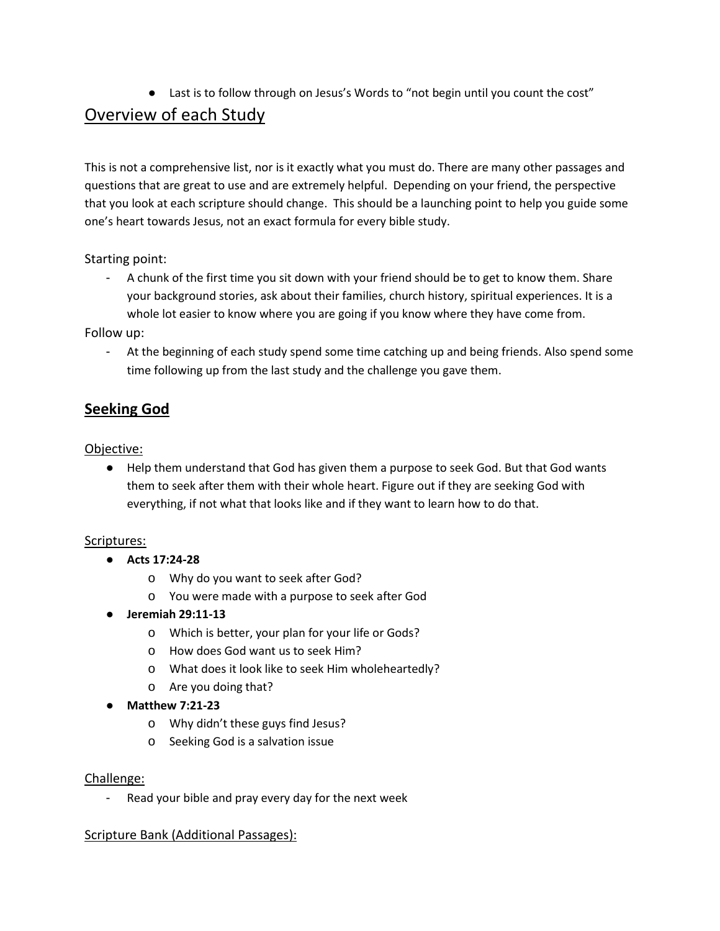● Last is to follow through on Jesus's Words to "not begin until you count the cost"

# Overview of each Study

This is not a comprehensive list, nor is it exactly what you must do. There are many other passages and questions that are great to use and are extremely helpful. Depending on your friend, the perspective that you look at each scripture should change. This should be a launching point to help you guide some one's heart towards Jesus, not an exact formula for every bible study.

Starting point:

- A chunk of the first time you sit down with your friend should be to get to know them. Share your background stories, ask about their families, church history, spiritual experiences. It is a whole lot easier to know where you are going if you know where they have come from.

Follow up:

- At the beginning of each study spend some time catching up and being friends. Also spend some time following up from the last study and the challenge you gave them.

## **Seeking God**

Objective:

● Help them understand that God has given them a purpose to seek God. But that God wants them to seek after them with their whole heart. Figure out if they are seeking God with everything, if not what that looks like and if they want to learn how to do that.

#### Scriptures:

- **Acts 17:24-28**
	- o Why do you want to seek after God?
	- o You were made with a purpose to seek after God
- **Jeremiah 29:11-13**
	- o Which is better, your plan for your life or Gods?
	- o How does God want us to seek Him?
	- o What does it look like to seek Him wholeheartedly?
	- o Are you doing that?
- **Matthew 7:21-23**
	- o Why didn't these guys find Jesus?
	- o Seeking God is a salvation issue

#### Challenge:

Read your bible and pray every day for the next week

#### Scripture Bank (Additional Passages):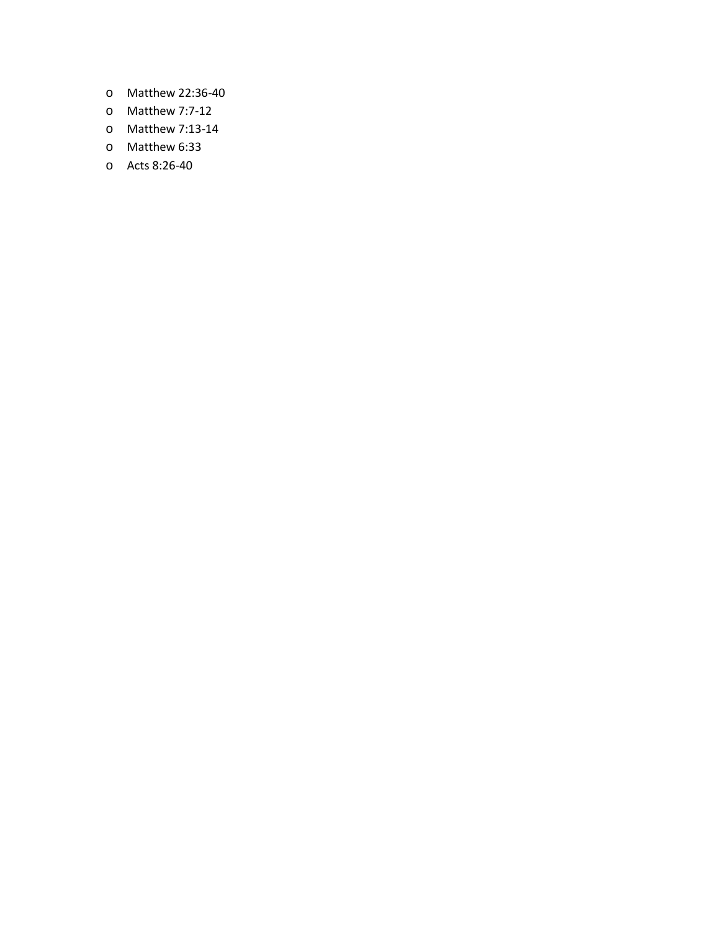- o Matthew 22:36-40
- o Matthew 7:7-12
- o Matthew 7:13-14
- o Matthew 6:33
- o Acts 8:26-40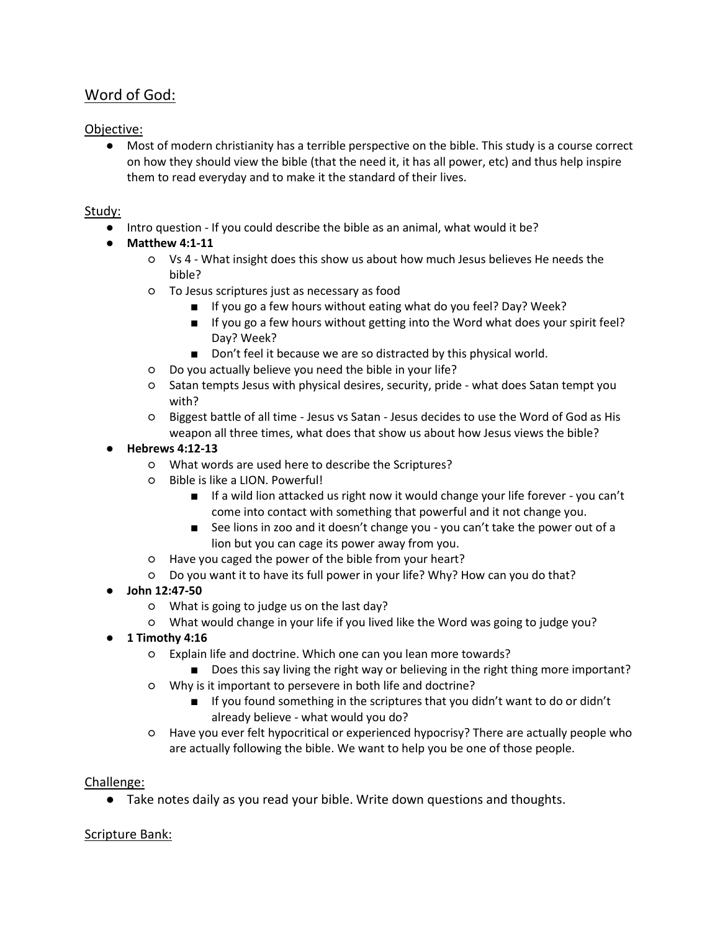# Word of God:

### Objective:

● Most of modern christianity has a terrible perspective on the bible. This study is a course correct on how they should view the bible (that the need it, it has all power, etc) and thus help inspire them to read everyday and to make it the standard of their lives.

#### Study:

- Intro question If you could describe the bible as an animal, what would it be?
- **Matthew 4:1-11**
	- Vs 4 What insight does this show us about how much Jesus believes He needs the bible?
	- To Jesus scriptures just as necessary as food
		- If you go a few hours without eating what do you feel? Day? Week?
		- If you go a few hours without getting into the Word what does your spirit feel? Day? Week?
		- Don't feel it because we are so distracted by this physical world.
	- Do you actually believe you need the bible in your life?
	- Satan tempts Jesus with physical desires, security, pride what does Satan tempt you with?
	- Biggest battle of all time Jesus vs Satan Jesus decides to use the Word of God as His weapon all three times, what does that show us about how Jesus views the bible?

#### ● **Hebrews 4:12-13**

- What words are used here to describe the Scriptures?
- Bible is like a LION. Powerful!
	- If a wild lion attacked us right now it would change your life forever you can't come into contact with something that powerful and it not change you.
	- See lions in zoo and it doesn't change you you can't take the power out of a lion but you can cage its power away from you.
- Have you caged the power of the bible from your heart?
- Do you want it to have its full power in your life? Why? How can you do that?
- **John 12:47-50**
	- What is going to judge us on the last day?
	- What would change in your life if you lived like the Word was going to judge you?
- **1 Timothy 4:16**
	- Explain life and doctrine. Which one can you lean more towards?
		- Does this say living the right way or believing in the right thing more important?
	- Why is it important to persevere in both life and doctrine?
		- If you found something in the scriptures that you didn't want to do or didn't already believe - what would you do?
	- Have you ever felt hypocritical or experienced hypocrisy? There are actually people who are actually following the bible. We want to help you be one of those people.

#### Challenge:

● Take notes daily as you read your bible. Write down questions and thoughts.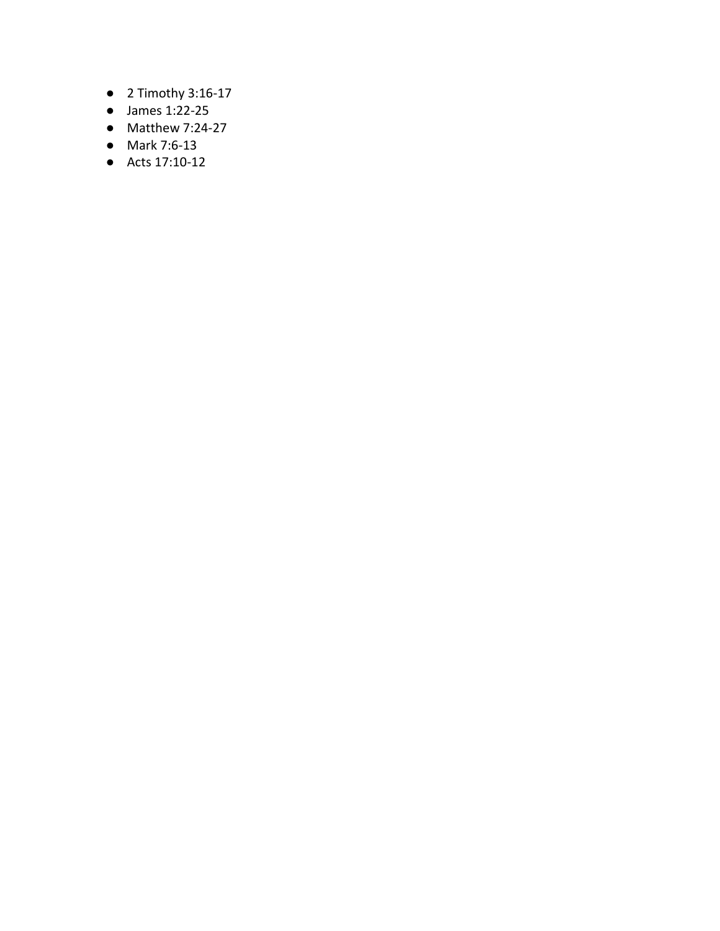- 2 Timothy 3:16-17
- James 1:22-25
- Matthew 7:24-27
- Mark 7:6-13
- Acts 17:10-12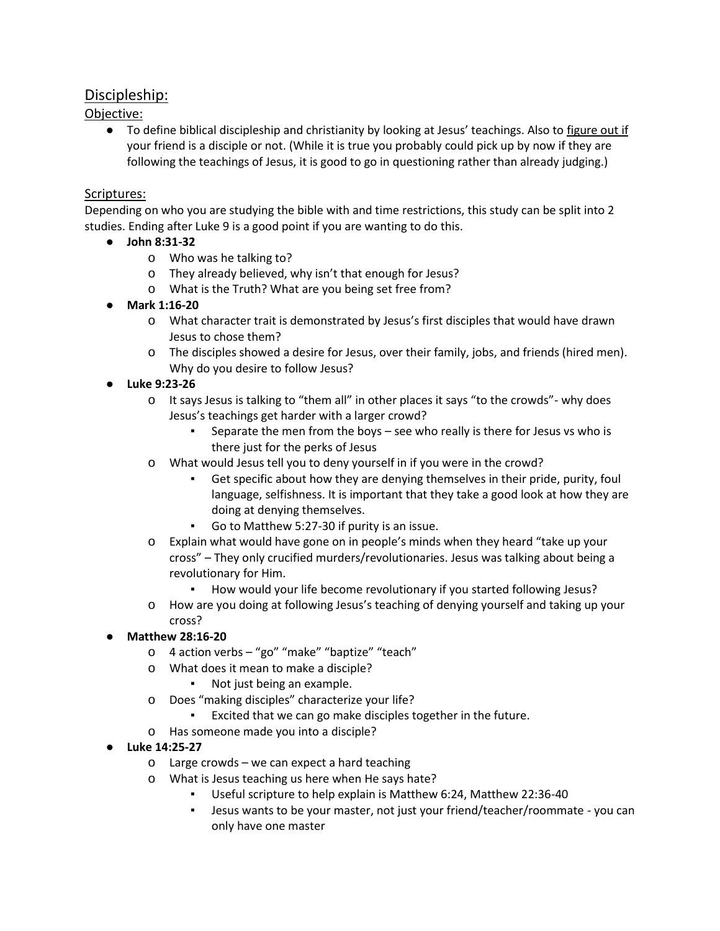## Discipleship:

Objective:

● To define biblical discipleship and christianity by looking at Jesus' teachings. Also to figure out if your friend is a disciple or not. (While it is true you probably could pick up by now if they are following the teachings of Jesus, it is good to go in questioning rather than already judging.)

#### Scriptures:

Depending on who you are studying the bible with and time restrictions, this study can be split into 2 studies. Ending after Luke 9 is a good point if you are wanting to do this.

- **John 8:31-32**
	- o Who was he talking to?
	- o They already believed, why isn't that enough for Jesus?
	- o What is the Truth? What are you being set free from?
- **Mark 1:16-20**
	- o What character trait is demonstrated by Jesus's first disciples that would have drawn Jesus to chose them?
	- o The disciples showed a desire for Jesus, over their family, jobs, and friends (hired men). Why do you desire to follow Jesus?
- **Luke 9:23-26**
	- o It says Jesus is talking to "them all" in other places it says "to the crowds"- why does Jesus's teachings get harder with a larger crowd?
		- Separate the men from the boys  $-$  see who really is there for Jesus vs who is there just for the perks of Jesus
	- o What would Jesus tell you to deny yourself in if you were in the crowd?
		- Get specific about how they are denying themselves in their pride, purity, foul language, selfishness. It is important that they take a good look at how they are doing at denying themselves.
		- Go to Matthew 5:27-30 if purity is an issue.
	- o Explain what would have gone on in people's minds when they heard "take up your cross" – They only crucified murders/revolutionaries. Jesus was talking about being a revolutionary for Him.
		- How would your life become revolutionary if you started following Jesus?
	- o How are you doing at following Jesus's teaching of denying yourself and taking up your cross?
	- **Matthew 28:16-20**
		- o 4 action verbs "go" "make" "baptize" "teach"
		- o What does it mean to make a disciple?
			- Not just being an example.
		- o Does "making disciples" characterize your life?
			- Excited that we can go make disciples together in the future.
		- o Has someone made you into a disciple?
- **Luke 14:25-27**
	- o Large crowds we can expect a hard teaching
	- o What is Jesus teaching us here when He says hate?
		- Useful scripture to help explain is Matthew 6:24, Matthew 22:36-40
		- Jesus wants to be your master, not just your friend/teacher/roommate you can only have one master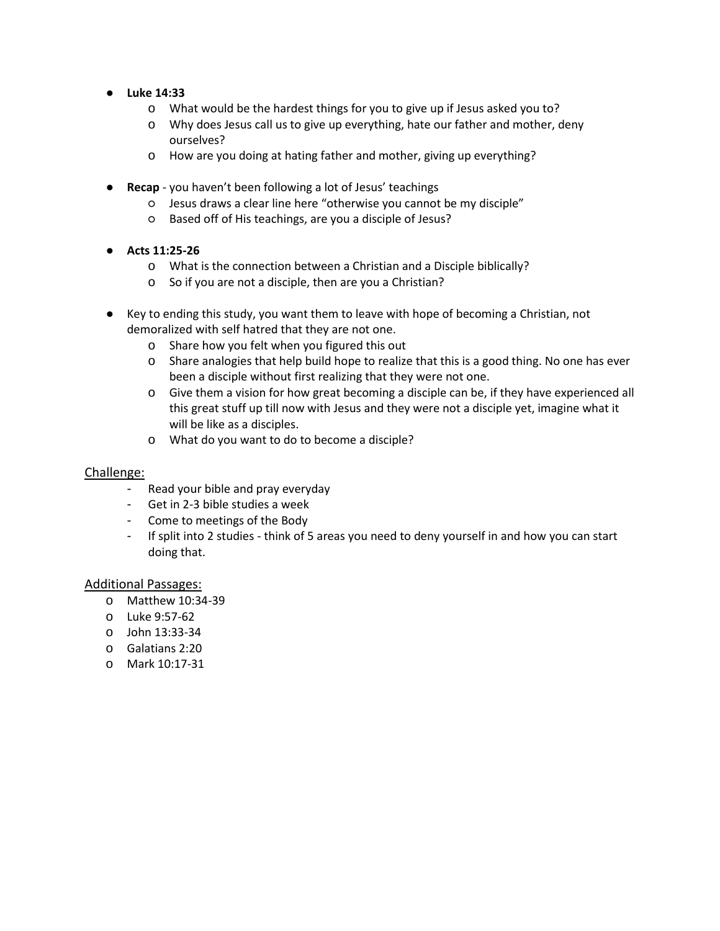- **Luke 14:33**
	- o What would be the hardest things for you to give up if Jesus asked you to?
	- o Why does Jesus call us to give up everything, hate our father and mother, deny ourselves?
	- o How are you doing at hating father and mother, giving up everything?
- **Recap**  you haven't been following a lot of Jesus' teachings
	- Jesus draws a clear line here "otherwise you cannot be my disciple"
	- Based off of His teachings, are you a disciple of Jesus?
- **Acts 11:25-26**
	- o What is the connection between a Christian and a Disciple biblically?
	- o So if you are not a disciple, then are you a Christian?
- Key to ending this study, you want them to leave with hope of becoming a Christian, not demoralized with self hatred that they are not one.
	- o Share how you felt when you figured this out
	- o Share analogies that help build hope to realize that this is a good thing. No one has ever been a disciple without first realizing that they were not one.
	- o Give them a vision for how great becoming a disciple can be, if they have experienced all this great stuff up till now with Jesus and they were not a disciple yet, imagine what it will be like as a disciples.
	- o What do you want to do to become a disciple?

- Read your bible and pray everyday
- Get in 2-3 bible studies a week
- Come to meetings of the Body
- If split into 2 studies think of 5 areas you need to deny yourself in and how you can start doing that.

#### Additional Passages:

- o Matthew 10:34-39
- o Luke 9:57-62
- o John 13:33-34
- o Galatians 2:20
- o Mark 10:17-31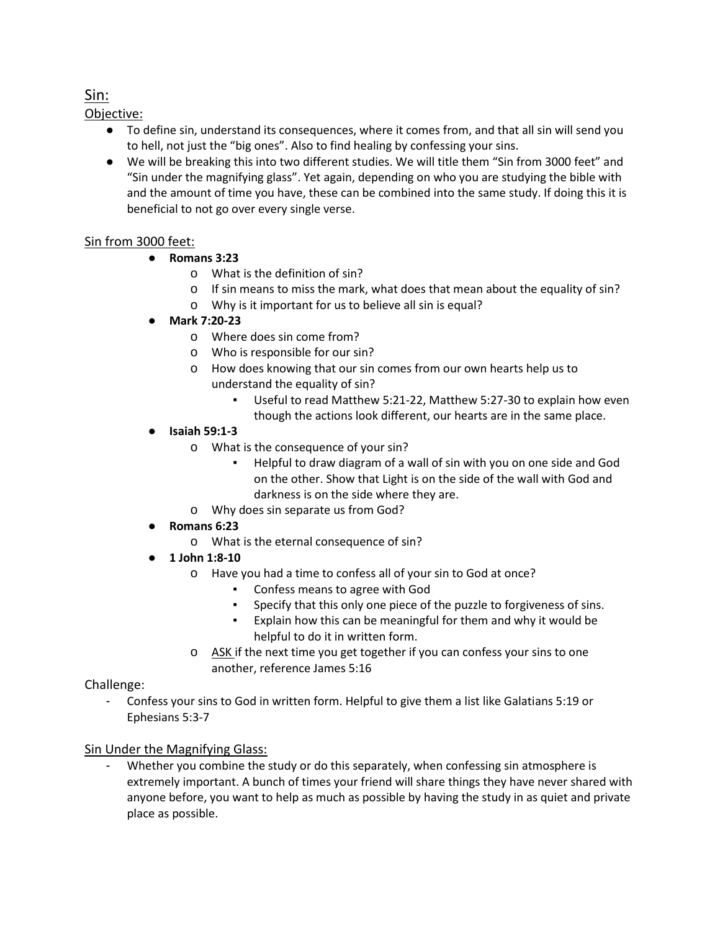# Sin:

### Objective:

- To define sin, understand its consequences, where it comes from, and that all sin will send you to hell, not just the "big ones". Also to find healing by confessing your sins.
- We will be breaking this into two different studies. We will title them "Sin from 3000 feet" and "Sin under the magnifying glass". Yet again, depending on who you are studying the bible with and the amount of time you have, these can be combined into the same study. If doing this it is beneficial to not go over every single verse.

### Sin from 3000 feet:

- **Romans 3:23**
	- o What is the definition of sin?
	- o If sin means to miss the mark, what does that mean about the equality of sin?
	- o Why is it important for us to believe all sin is equal?
- **Mark 7:20-23**
	- o Where does sin come from?
	- o Who is responsible for our sin?
	- o How does knowing that our sin comes from our own hearts help us to understand the equality of sin?
		- Useful to read Matthew 5:21-22, Matthew 5:27-30 to explain how even though the actions look different, our hearts are in the same place.
- **Isaiah 59:1-3**
	- o What is the consequence of your sin?
		- Helpful to draw diagram of a wall of sin with you on one side and God on the other. Show that Light is on the side of the wall with God and darkness is on the side where they are.
	- o Why does sin separate us from God?
- **Romans 6:23**
	- o What is the eternal consequence of sin?
- **1 John 1:8-10**
	- o Have you had a time to confess all of your sin to God at once?
		- Confess means to agree with God
		- Specify that this only one piece of the puzzle to forgiveness of sins.
		- Explain how this can be meaningful for them and why it would be helpful to do it in written form.
	- o ASK if the next time you get together if you can confess your sins to one another, reference James 5:16

### Challenge:

Confess your sins to God in written form. Helpful to give them a list like Galatians 5:19 or Ephesians 5:3-7

### Sin Under the Magnifying Glass:

Whether you combine the study or do this separately, when confessing sin atmosphere is extremely important. A bunch of times your friend will share things they have never shared with anyone before, you want to help as much as possible by having the study in as quiet and private place as possible.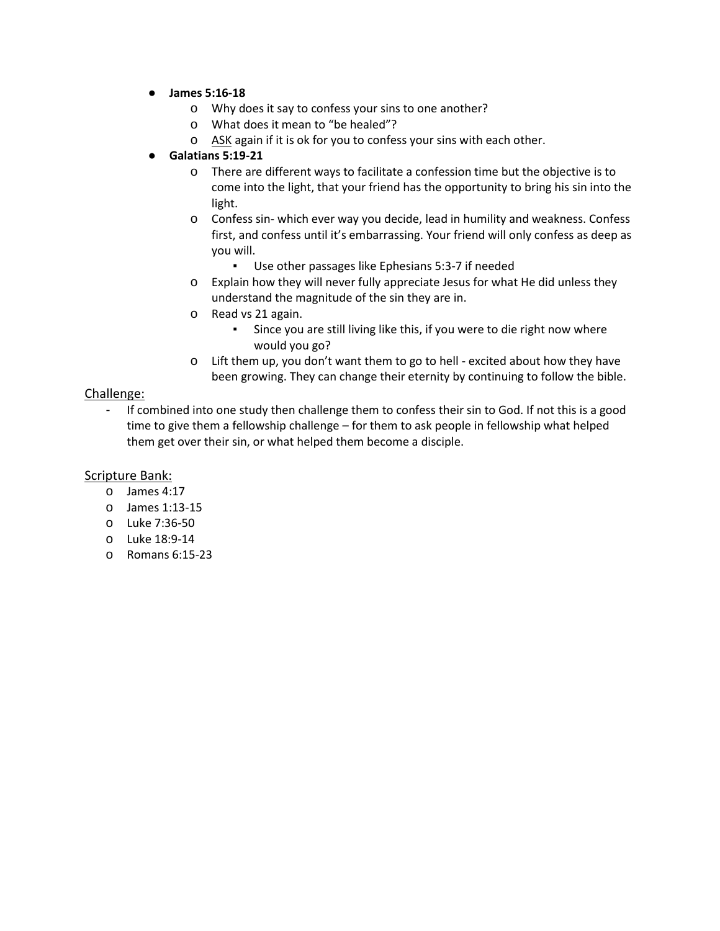- **James 5:16-18**
	- o Why does it say to confess your sins to one another?
	- o What does it mean to "be healed"?
	- o ASK again if it is ok for you to confess your sins with each other.

#### ● **Galatians 5:19-21**

- o There are different ways to facilitate a confession time but the objective is to come into the light, that your friend has the opportunity to bring his sin into the light.
- o Confess sin- which ever way you decide, lead in humility and weakness. Confess first, and confess until it's embarrassing. Your friend will only confess as deep as you will.
	- Use other passages like Ephesians 5:3-7 if needed
- o Explain how they will never fully appreciate Jesus for what He did unless they understand the magnitude of the sin they are in.
- o Read vs 21 again.
	- Since you are still living like this, if you were to die right now where would you go?
- o Lift them up, you don't want them to go to hell excited about how they have been growing. They can change their eternity by continuing to follow the bible.

#### Challenge:

If combined into one study then challenge them to confess their sin to God. If not this is a good time to give them a fellowship challenge – for them to ask people in fellowship what helped them get over their sin, or what helped them become a disciple.

- o James 4:17
- o James 1:13-15
- o Luke 7:36-50
- o Luke 18:9-14
- o Romans 6:15-23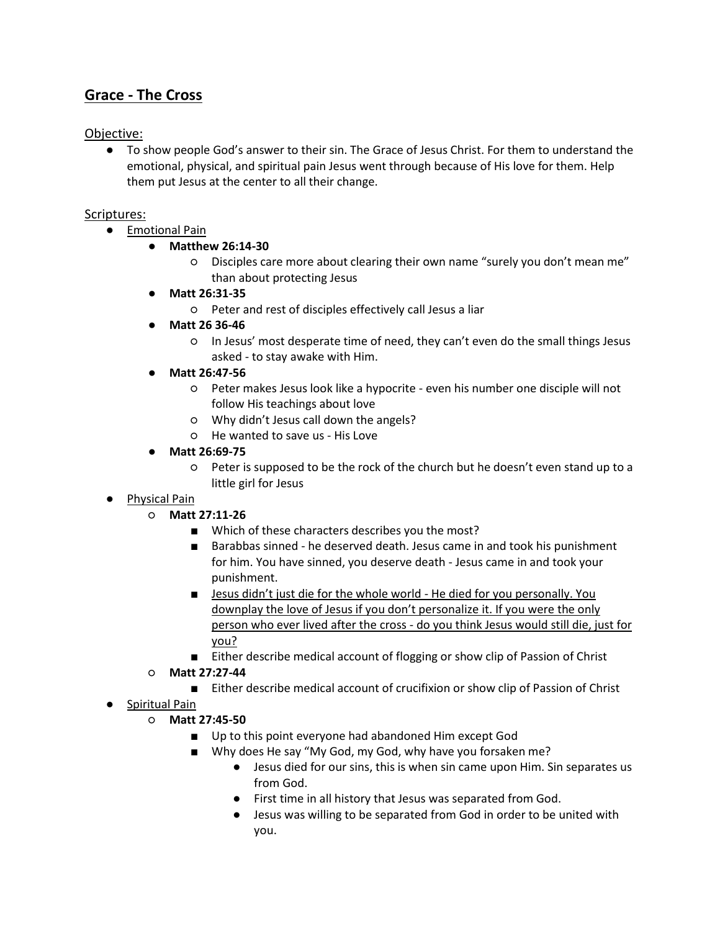# **Grace - The Cross**

Objective:

● To show people God's answer to their sin. The Grace of Jesus Christ. For them to understand the emotional, physical, and spiritual pain Jesus went through because of His love for them. Help them put Jesus at the center to all their change.

#### Scriptures:

- **Emotional Pain** 
	- **Matthew 26:14-30**
		- Disciples care more about clearing their own name "surely you don't mean me" than about protecting Jesus
		- **Matt 26:31-35**
			- Peter and rest of disciples effectively call Jesus a liar
		- **Matt 26 36-46**
			- In Jesus' most desperate time of need, they can't even do the small things Jesus asked - to stay awake with Him.
		- **Matt 26:47-56**
			- Peter makes Jesus look like a hypocrite even his number one disciple will not follow His teachings about love
			- Why didn't Jesus call down the angels?
			- He wanted to save us His Love
		- **Matt 26:69-75**
			- Peter is supposed to be the rock of the church but he doesn't even stand up to a little girl for Jesus
- Physical Pain
	- **Matt 27:11-26**
		- Which of these characters describes you the most?
		- Barabbas sinned he deserved death. Jesus came in and took his punishment for him. You have sinned, you deserve death - Jesus came in and took your punishment.
		- Jesus didn't just die for the whole world He died for you personally. You downplay the love of Jesus if you don't personalize it. If you were the only person who ever lived after the cross - do you think Jesus would still die, just for you?
		- Either describe medical account of flogging or show clip of Passion of Christ
	- **Matt 27:27-44**
		- Either describe medical account of crucifixion or show clip of Passion of Christ
- Spiritual Pain
	- **Matt 27:45-50**
		- Up to this point everyone had abandoned Him except God
		- Why does He say "My God, my God, why have you forsaken me?
			- Jesus died for our sins, this is when sin came upon Him. Sin separates us from God.
			- First time in all history that Jesus was separated from God.
			- Jesus was willing to be separated from God in order to be united with you.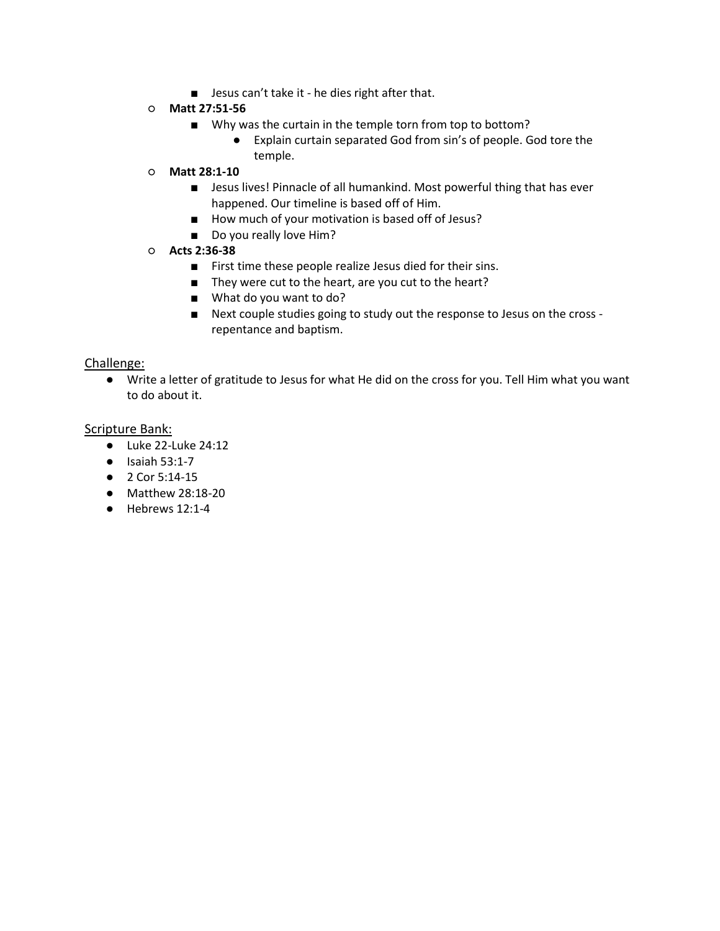- Jesus can't take it he dies right after that.
- **Matt 27:51-56**
	- Why was the curtain in the temple torn from top to bottom?
		- Explain curtain separated God from sin's of people. God tore the temple.
- **Matt 28:1-10**
	- Jesus lives! Pinnacle of all humankind. Most powerful thing that has ever happened. Our timeline is based off of Him.
	- How much of your motivation is based off of Jesus?
	- Do you really love Him?
- **Acts 2:36-38**
	- First time these people realize Jesus died for their sins.
	- They were cut to the heart, are you cut to the heart?
	- What do you want to do?
	- Next couple studies going to study out the response to Jesus on the cross repentance and baptism.

● Write a letter of gratitude to Jesus for what He did on the cross for you. Tell Him what you want to do about it.

- Luke 22-Luke 24:12
- Isaiah 53:1-7
- 2 Cor 5:14-15
- Matthew 28:18-20
- Hebrews 12:1-4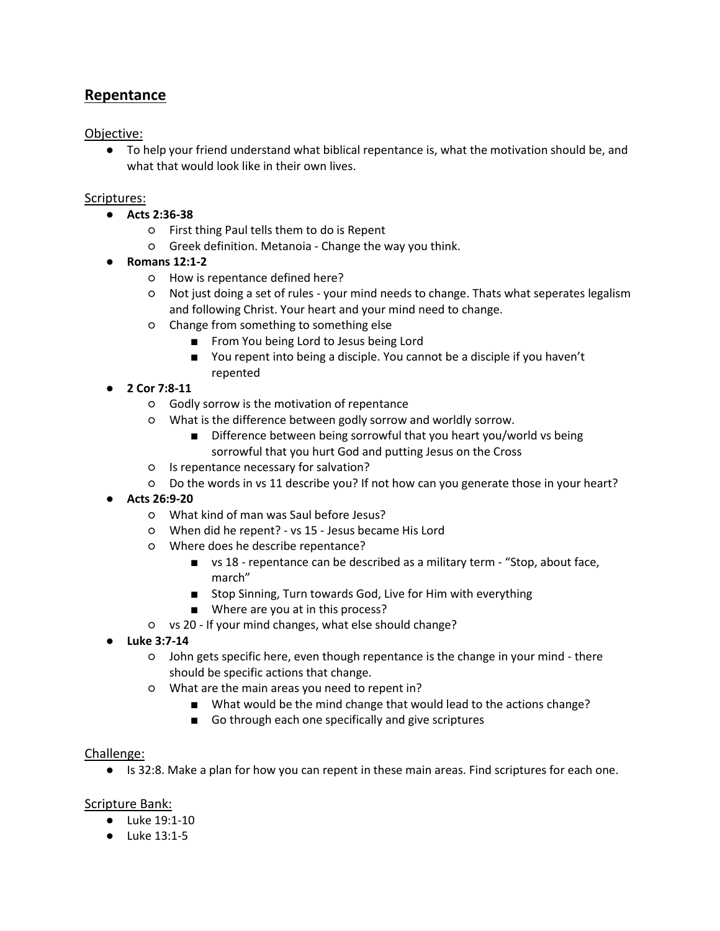## **Repentance**

Objective:

● To help your friend understand what biblical repentance is, what the motivation should be, and what that would look like in their own lives.

#### Scriptures:

- **Acts 2:36-38**
	- First thing Paul tells them to do is Repent
	- Greek definition. Metanoia Change the way you think.
- **Romans 12:1-2**
	- How is repentance defined here?
	- Not just doing a set of rules your mind needs to change. Thats what seperates legalism and following Christ. Your heart and your mind need to change.
	- Change from something to something else
		- From You being Lord to Jesus being Lord
		- You repent into being a disciple. You cannot be a disciple if you haven't repented
- **2 Cor 7:8-11**
	- Godly sorrow is the motivation of repentance
	- What is the difference between godly sorrow and worldly sorrow.
		- Difference between being sorrowful that you heart you/world vs being sorrowful that you hurt God and putting Jesus on the Cross
	- Is repentance necessary for salvation?
	- Do the words in vs 11 describe you? If not how can you generate those in your heart?
- **Acts 26:9-20**
	- What kind of man was Saul before Jesus?
	- When did he repent? vs 15 Jesus became His Lord
	- Where does he describe repentance?
		- vs 18 repentance can be described as a military term "Stop, about face, march"
		- Stop Sinning, Turn towards God, Live for Him with everything
		- Where are you at in this process?
	- vs 20 If your mind changes, what else should change?
- **Luke 3:7-14**
	- John gets specific here, even though repentance is the change in your mind there should be specific actions that change.
	- What are the main areas you need to repent in?
		- What would be the mind change that would lead to the actions change?
		- Go through each one specifically and give scriptures

#### Challenge:

● Is 32:8. Make a plan for how you can repent in these main areas. Find scriptures for each one.

- Luke 19:1-10
- Luke 13:1-5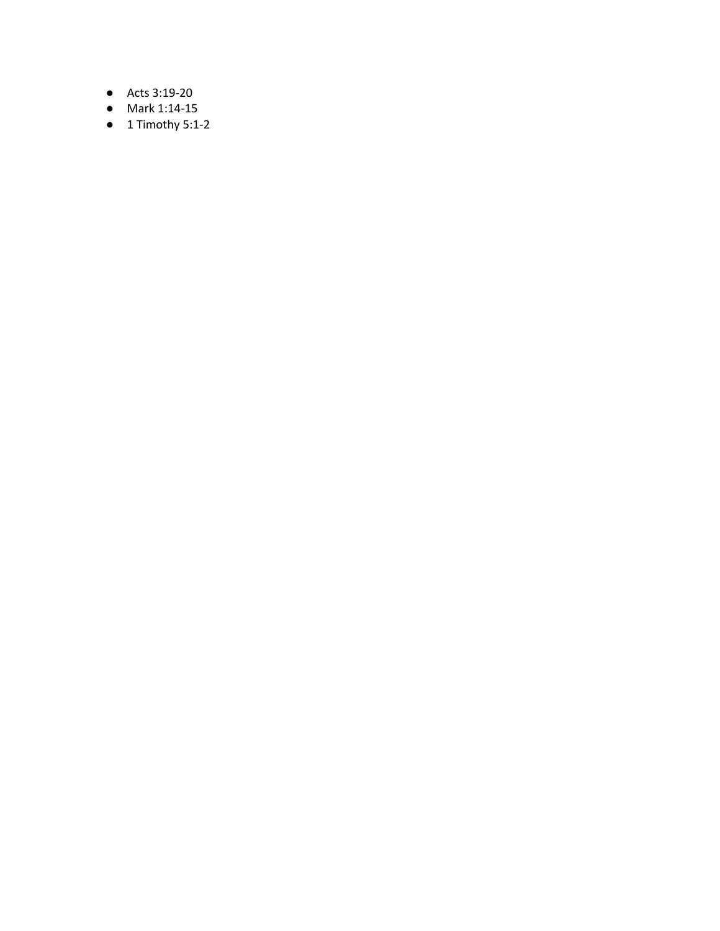- Acts 3:19-20
- Mark 1:14-15
- 1 Timothy 5:1-2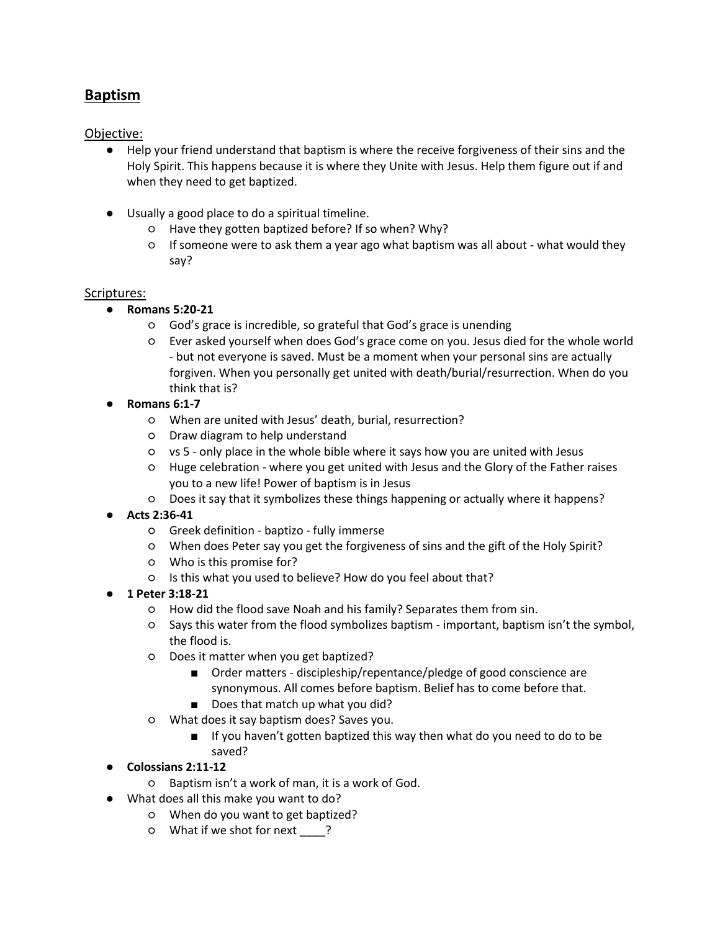## **Baptism**

Objective:

- Help your friend understand that baptism is where the receive forgiveness of their sins and the Holy Spirit. This happens because it is where they Unite with Jesus. Help them figure out if and when they need to get baptized.
- Usually a good place to do a spiritual timeline.
	- Have they gotten baptized before? If so when? Why?
	- If someone were to ask them a year ago what baptism was all about what would they say?

#### Scriptures:

- **Romans 5:20-21**
	- God's grace is incredible, so grateful that God's grace is unending
	- Ever asked yourself when does God's grace come on you. Jesus died for the whole world - but not everyone is saved. Must be a moment when your personal sins are actually forgiven. When you personally get united with death/burial/resurrection. When do you think that is?
- **Romans 6:1-7**
	- When are united with Jesus' death, burial, resurrection?
	- Draw diagram to help understand
	- vs 5 only place in the whole bible where it says how you are united with Jesus
	- Huge celebration where you get united with Jesus and the Glory of the Father raises you to a new life! Power of baptism is in Jesus
	- Does it say that it symbolizes these things happening or actually where it happens?
- **Acts 2:36-41**
	- Greek definition baptizo fully immerse
	- When does Peter say you get the forgiveness of sins and the gift of the Holy Spirit?
	- Who is this promise for?
	- Is this what you used to believe? How do you feel about that?
- **1 Peter 3:18-21**
	- How did the flood save Noah and his family? Separates them from sin.
	- Says this water from the flood symbolizes baptism important, baptism isn't the symbol, the flood is.
	- Does it matter when you get baptized?
		- Order matters discipleship/repentance/pledge of good conscience are synonymous. All comes before baptism. Belief has to come before that.
		- Does that match up what you did?
	- What does it say baptism does? Saves you.
		- If you haven't gotten baptized this way then what do you need to do to be saved?
- **Colossians 2:11-12**
	- Baptism isn't a work of man, it is a work of God.
- What does all this make you want to do?
	- When do you want to get baptized?
	- What if we shot for next \_\_\_\_?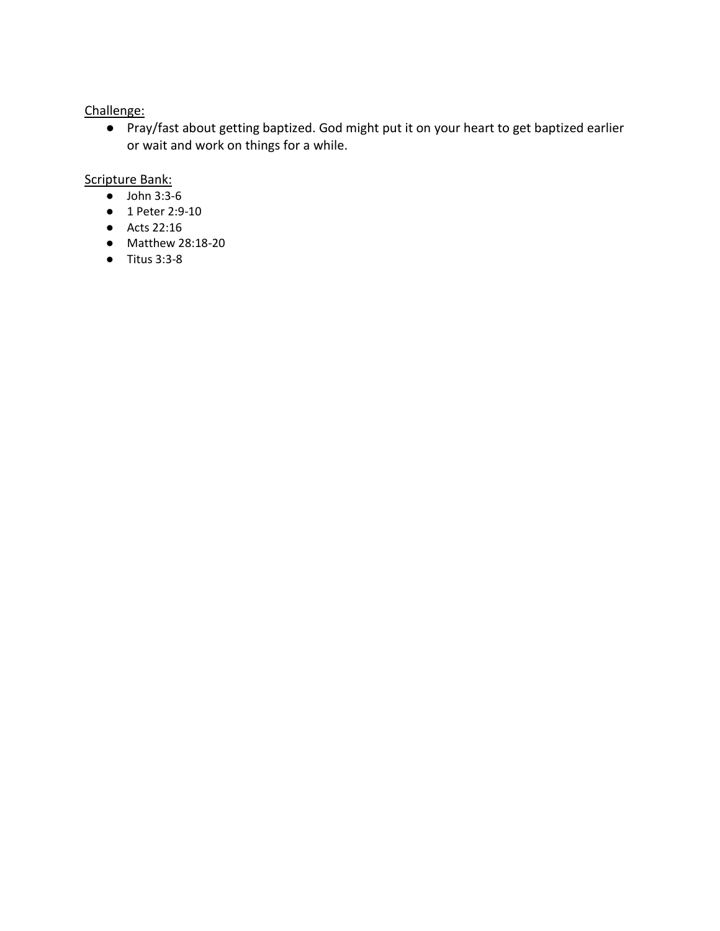● Pray/fast about getting baptized. God might put it on your heart to get baptized earlier or wait and work on things for a while.

- John 3:3-6
- 1 Peter 2:9-10
- Acts 22:16
- Matthew 28:18-20
- Titus 3:3-8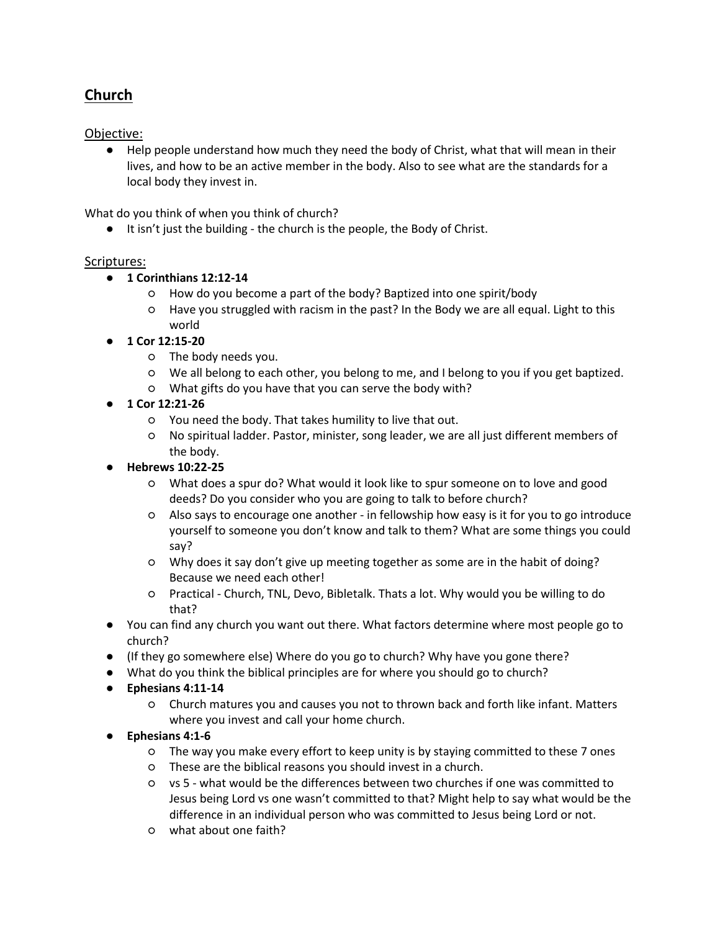# **Church**

#### Objective:

● Help people understand how much they need the body of Christ, what that will mean in their lives, and how to be an active member in the body. Also to see what are the standards for a local body they invest in.

What do you think of when you think of church?

● It isn't just the building - the church is the people, the Body of Christ.

#### Scriptures:

- **1 Corinthians 12:12-14**
	- How do you become a part of the body? Baptized into one spirit/body
	- Have you struggled with racism in the past? In the Body we are all equal. Light to this world
- **1 Cor 12:15-20**
	- The body needs you.
	- We all belong to each other, you belong to me, and I belong to you if you get baptized.
	- What gifts do you have that you can serve the body with?
- **1 Cor 12:21-26**
	- You need the body. That takes humility to live that out.
	- No spiritual ladder. Pastor, minister, song leader, we are all just different members of the body.
- **Hebrews 10:22-25**
	- What does a spur do? What would it look like to spur someone on to love and good deeds? Do you consider who you are going to talk to before church?
	- Also says to encourage one another in fellowship how easy is it for you to go introduce yourself to someone you don't know and talk to them? What are some things you could say?
	- Why does it say don't give up meeting together as some are in the habit of doing? Because we need each other!
	- Practical Church, TNL, Devo, Bibletalk. Thats a lot. Why would you be willing to do that?
- You can find any church you want out there. What factors determine where most people go to church?
- (If they go somewhere else) Where do you go to church? Why have you gone there?
- What do you think the biblical principles are for where you should go to church?
- **Ephesians 4:11-14**
	- Church matures you and causes you not to thrown back and forth like infant. Matters where you invest and call your home church.
- **Ephesians 4:1-6**
	- The way you make every effort to keep unity is by staying committed to these 7 ones
	- These are the biblical reasons you should invest in a church.
	- vs 5 what would be the differences between two churches if one was committed to Jesus being Lord vs one wasn't committed to that? Might help to say what would be the difference in an individual person who was committed to Jesus being Lord or not.
	- what about one faith?